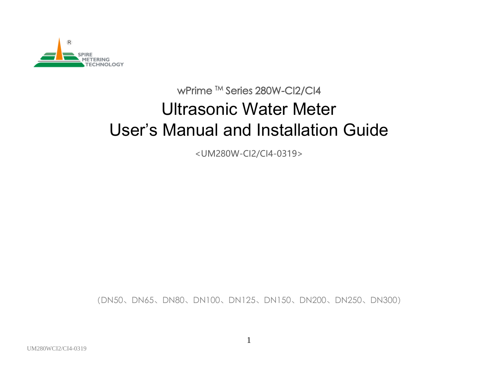

# wPrime <sup>™</sup> Series 280W-Cl2/Cl4 Ultrasonic Water Meter User's Manual and Installation Guide

<UM280W-CI2/CI4-0319>

(DN50、DN65、DN80、DN100、DN125、DN150、DN200、DN250、DN300)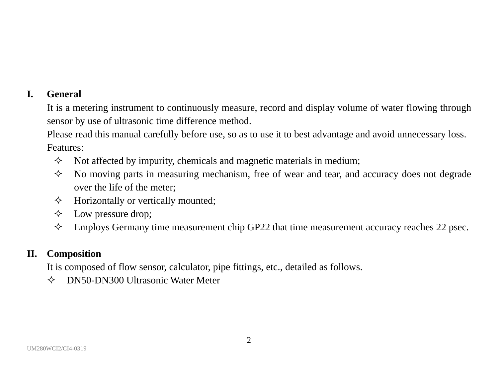### **I. General**

It is a metering instrument to continuously measure, record and display volume of water flowing through sensor by use of ultrasonic time difference method.

Please read this manual carefully before use, so as to use it to best advantage and avoid unnecessary loss. Features:

- $\Diamond$  Not affected by impurity, chemicals and magnetic materials in medium;
- $\Diamond$  No moving parts in measuring mechanism, free of wear and tear, and accuracy does not degrade over the life of the meter;
- $\Diamond$  Horizontally or vertically mounted;
- $\Diamond$  Low pressure drop;
- $\Diamond$  Employs Germany time measurement chip GP22 that time measurement accuracy reaches 22 psec.

#### **II. Composition**

It is composed of flow sensor, calculator, pipe fittings, etc., detailed as follows.

 $\Diamond$  DN50-DN300 Ultrasonic Water Meter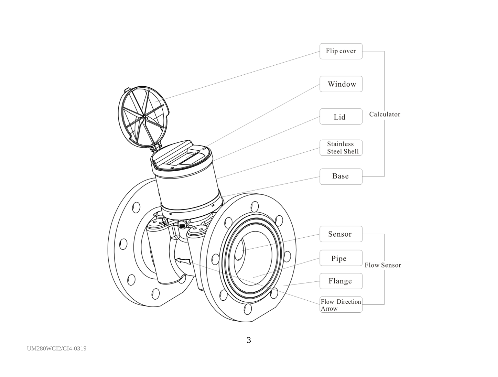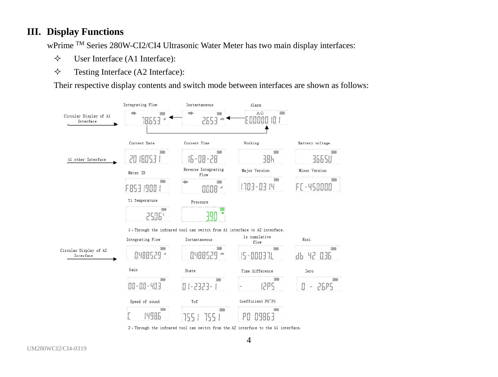#### **III. Display Functions**

wPrime TM Series 280W-CI2/CI4 Ultrasonic Water Meter has two main display interfaces:

- User Interface (A1 Interface):
- $\diamond$  Testing Interface (A2 Interface):

Their respective display contents and switch mode between interfaces are shown as follows:



2, Through the infrared tool can switch from the A2 interface to the A1 interface.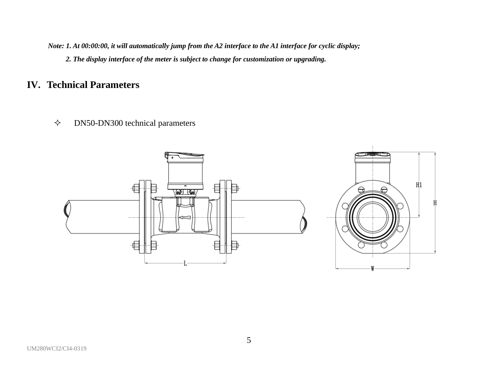*Note: 1. At 00:00:00, it will automatically jump from the A2 interface to the A1 interface for cyclic display; 2. The display interface of the meter is subject to change for customization or upgrading.*

## **IV. Technical Parameters**

 $\diamond$  DN50-DN300 technical parameters

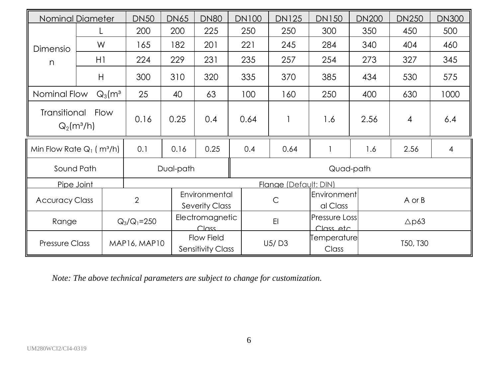|                                                            | <b>Nominal Diameter</b> | <b>DN50</b>                 | <b>DN65</b> | <b>DN80</b>                                   | <b>DN100</b> | <b>DN125</b> | <b>DN150</b>          | <b>DN200</b>                             | <b>DN250</b>   | <b>DN300</b> |
|------------------------------------------------------------|-------------------------|-----------------------------|-------------|-----------------------------------------------|--------------|--------------|-----------------------|------------------------------------------|----------------|--------------|
|                                                            |                         | 200                         | 200         | 225                                           | 250          | 250          | 300                   | 350                                      | 450            | 500          |
| Dimensio                                                   | W                       | 165                         | 182         | 201                                           | 221          | 245          | 284                   | 340                                      | 404            | 460          |
| n                                                          | H1                      | 224                         | 229         | 231                                           | 235          | 257          | 254                   | 273                                      | 327            | 345          |
|                                                            | H                       | 300                         | 310         | 320                                           | 335          | 370          | 385                   | 434                                      | 530            | 575          |
| Nominal Flow                                               | $Q_3$ (m <sup>3</sup>   | 25                          | 40          | 63                                            | 100          | 160          | 250                   | 400                                      | 630            | 1000         |
| Transitional<br>Flow<br>$Q_2(m^3/h)$                       |                         | 0.16                        | 0.25        | 0.4                                           | 0.64         |              | 1.6                   | 2.56                                     | $\overline{4}$ | 6.4          |
| Min Flow Rate $Q_1$ (m <sup>3</sup> /h)                    |                         | 0.1                         | 0.16        | 0.25                                          | 0.4          | 0.64         |                       | 1.6                                      | 2.56           | 4            |
| Sound Path                                                 |                         |                             | Dual-path   | Quad-path                                     |              |              |                       |                                          |                |              |
| Pipe Joint                                                 |                         |                             |             | Flange (Default: DIN)                         |              |              |                       |                                          |                |              |
| <b>Accuracy Class</b>                                      |                         | $\overline{2}$              |             | Environmental<br>Severity Class               |              | C            |                       | <b>Environment</b><br>A or B<br>al Class |                |              |
| Electromagnetic<br>E1<br>Range<br>$Q_3/Q_1 = 250$<br>Class |                         | Pressure Loss<br>Class etc. |             | $\triangle$ p63                               |              |              |                       |                                          |                |              |
| <b>Pressure Class</b>                                      |                         | MAP16, MAP10                |             | <b>Flow Field</b><br><b>Sensitivity Class</b> |              | U5/D3        | Temperature <br>Class |                                          | T50, T30       |              |

*Note: The above technical parameters are subject to change for customization.*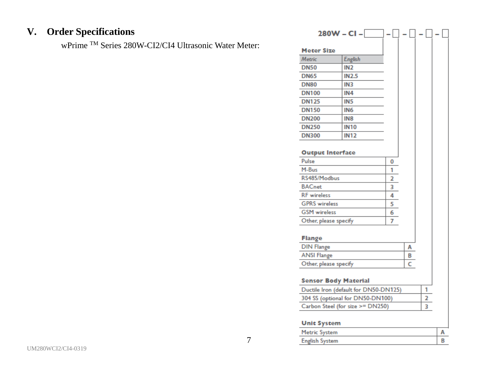## **V. Order Specifications**

wPrime TM Series 280W-CI2/CI4 Ultrasonic Water Meter:

|                                  | 280W - CI -                           |                |   |   |  |  |
|----------------------------------|---------------------------------------|----------------|---|---|--|--|
| <b>Meter Size</b>                |                                       |                |   |   |  |  |
| Metric                           | <b>English</b>                        |                |   |   |  |  |
| <b>DN50</b>                      | IN <sub>2</sub>                       |                |   |   |  |  |
| <b>DN65</b>                      | <b>IN2.5</b>                          |                |   |   |  |  |
| <b>DN80</b>                      | IN <sub>3</sub>                       |                |   |   |  |  |
| <b>DN100</b>                     | IN <sub>4</sub>                       |                |   |   |  |  |
| <b>DN125</b>                     | IN <sub>5</sub>                       |                |   |   |  |  |
| <b>DN150</b>                     | IN <sub>6</sub>                       |                |   |   |  |  |
| <b>DN200</b>                     | IN <sub>8</sub>                       |                |   |   |  |  |
| <b>DN250</b>                     | <b>IN10</b>                           |                |   |   |  |  |
| <b>DN300</b>                     | <b>IN12</b>                           |                |   |   |  |  |
|                                  |                                       |                |   |   |  |  |
| <b>Output Interface</b>          |                                       |                |   |   |  |  |
| Pulse                            |                                       | 0              |   |   |  |  |
| M-Bus                            |                                       | 1              |   |   |  |  |
| RS485/Modbus                     |                                       | $\overline{2}$ |   |   |  |  |
| <b>BACnet</b>                    |                                       | 3              |   |   |  |  |
| <b>RF</b> wireless               |                                       | 4              |   |   |  |  |
| <b>GPRS</b> wireless             |                                       | 5              |   |   |  |  |
| <b>GSM</b> wireless              |                                       | 6              |   |   |  |  |
| Other, please specify            |                                       | 7              |   |   |  |  |
|                                  |                                       |                |   |   |  |  |
| <b>Flange</b>                    |                                       |                |   |   |  |  |
| <b>DIN Flange</b>                |                                       |                | A |   |  |  |
| <b>ANSI Flange</b>               | B                                     |                |   |   |  |  |
| Other, please specify            |                                       |                | c |   |  |  |
|                                  |                                       |                |   |   |  |  |
| <b>Sensor Body Material</b>      | Ductile Iron (default for DN50-DN125) |                |   | 1 |  |  |
| 304 SS (optional for DN50-DN100) | 2                                     |                |   |   |  |  |
|                                  |                                       |                |   |   |  |  |
|                                  | Carbon Steel (for size >= DN250)<br>3 |                |   |   |  |  |
| <b>Unit System</b>               |                                       |                |   |   |  |  |

|        | ____ |  |
|--------|------|--|
| $\sim$ | . .  |  |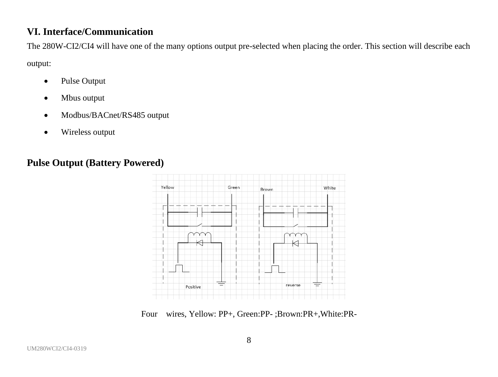## **VI. Interface/Communication**

The 280W-CI2/CI4 will have one of the many options output pre-selected when placing the order. This section will describe each output:

- Pulse Output
- Mbus output
- Modbus/BACnet/RS485 output
- Wireless output

## **Pulse Output (Battery Powered)**



Four wires, Yellow: PP+, Green:PP- ;Brown:PR+,White:PR-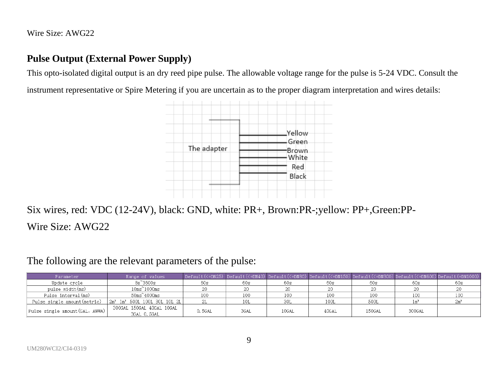Wire Size: AWG22

## **Pulse Output (External Power Supply)**

This opto-isolated digital output is an dry reed pipe pulse. The allowable voltage range for the pulse is 5-24 VDC. Consult the

instrument representative or Spire Metering if you are uncertain as to the proper diagram interpretation and wires details:



Six wires, red: VDC (12-24V), black: GND, white: PR+, Brown:PR-;yellow: PP+,Green:PP-Wire Size: AWG22

The following are the relevant parameters of the pulse:

| Parameter                       | Range of values                             |         |      |       |       |        |        | $\vert$ Default(<=DN25) $\vert$ Default(<=DN40) $\vert$ Default(<=DN80) $\vert$ Default(<=DN150) $\vert$ Default(<=DN300) $\vert$ Default(<=DN600) $\vert$ Default(=DN1000) |
|---------------------------------|---------------------------------------------|---------|------|-------|-------|--------|--------|-----------------------------------------------------------------------------------------------------------------------------------------------------------------------------|
| Update cycle                    | $8s^33600s$                                 | 60s     | 60s  | 60s   | 60s   | 60s    | 60s    | 60s                                                                                                                                                                         |
| pulse width(ms)                 | $10ms^21000ms$                              |         | 20   |       |       |        |        |                                                                                                                                                                             |
| Pulse interval (ms)             | $50 \text{ms}^2 4000 \text{ms}$             | 100     | 100  |       | 100   |        | 100    |                                                                                                                                                                             |
| Pulse single amount(metric)     | $2m^2$ 1m <sup>2</sup> 500L 100L 30L 10L 2L |         | 10L  | 30L   | 100L  | 500L   |        |                                                                                                                                                                             |
| Pulse single amount (GAL, AWWA) | 300GAL 150GAL 40GAL 10GAL<br>3GAL 0.5GAL    | 0. 5GAL | 3GAL | 10GAL | 40GAL | 150GAL | 300GAL |                                                                                                                                                                             |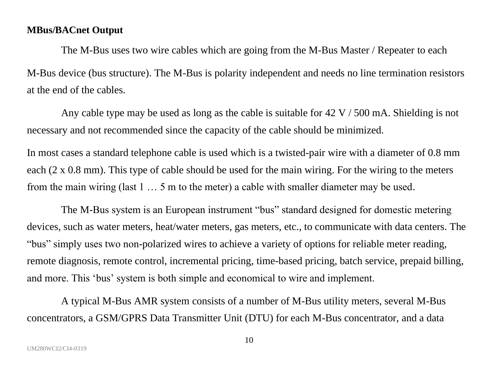#### **MBus/BACnet Output**

The M-Bus uses two wire cables which are going from the M-Bus Master / Repeater to each M-Bus device (bus structure). The M-Bus is polarity independent and needs no line termination resistors at the end of the cables.

Any cable type may be used as long as the cable is suitable for 42 V / 500 mA. Shielding is not necessary and not recommended since the capacity of the cable should be minimized.

In most cases a standard telephone cable is used which is a twisted-pair wire with a diameter of 0.8 mm each ( $2 \times 0.8$  mm). This type of cable should be used for the main wiring. For the wiring to the meters from the main wiring (last 1 … 5 m to the meter) a cable with smaller diameter may be used.

The M-Bus system is an European instrument "bus" standard designed for domestic metering devices, such as water meters, heat/water meters, gas meters, etc., to communicate with data centers. The "bus" simply uses two non-polarized wires to achieve a variety of options for reliable meter reading, remote diagnosis, remote control, incremental pricing, time-based pricing, batch service, prepaid billing, and more. This 'bus' system is both simple and economical to wire and implement.

A typical M-Bus AMR system consists of a number of M-Bus utility meters, several M-Bus concentrators, a GSM/GPRS Data Transmitter Unit (DTU) for each M-Bus concentrator, and a data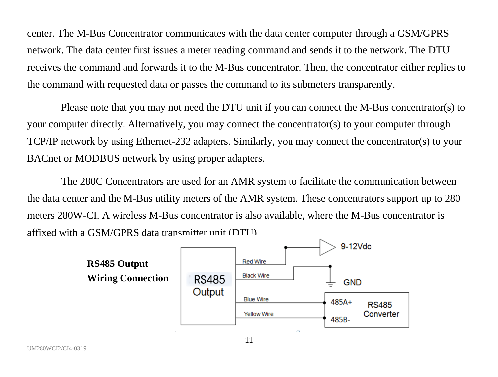center. The M-Bus Concentrator communicates with the data center computer through a GSM/GPRS network. The data center first issues a meter reading command and sends it to the network. The DTU receives the command and forwards it to the M-Bus concentrator. Then, the concentrator either replies to the command with requested data or passes the command to its submeters transparently.

Please note that you may not need the DTU unit if you can connect the M-Bus concentrator(s) to your computer directly. Alternatively, you may connect the concentrator(s) to your computer through TCP/IP network by using Ethernet-232 adapters. Similarly, you may connect the concentrator(s) to your BACnet or MODBUS network by using proper adapters.

The 280C Concentrators are used for an AMR system to facilitate the communication between the data center and the M-Bus utility meters of the AMR system. These concentrators support up to 280 meters 280W-CI. A wireless M-Bus concentrator is also available, where the M-Bus concentrator is affixed with a GSM/GPRS data transmitter unit (DTU).

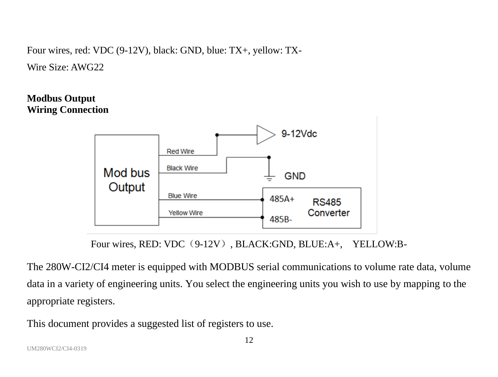Four wires, red: VDC (9-12V), black: GND, blue: TX+, yellow: TX-

Wire Size: AWG22

## **Modbus Output Wiring Connection**



Four wires, RED: VDC (9-12V), BLACK:GND, BLUE:A+, YELLOW:B-

The 280W-CI2/CI4 meter is equipped with MODBUS serial communications to volume rate data, volume data in a variety of engineering units. You select the engineering units you wish to use by mapping to the appropriate registers.

This document provides a suggested list of registers to use.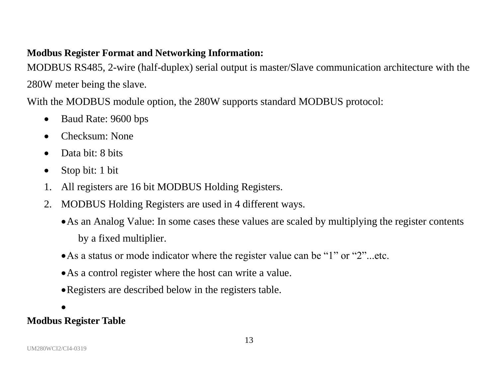## **Modbus Register Format and Networking Information:**

MODBUS RS485, 2-wire (half-duplex) serial output is master/Slave communication architecture with the 280W meter being the slave.

With the MODBUS module option, the 280W supports standard MODBUS protocol:

- Baud Rate: 9600 bps
- Checksum: None
- Data bit: 8 bits
- Stop bit: 1 bit
- 1. All registers are 16 bit MODBUS Holding Registers.
- 2. MODBUS Holding Registers are used in 4 different ways.
	- •As an Analog Value: In some cases these values are scaled by multiplying the register contents by a fixed multiplier.
	- •As a status or mode indicator where the register value can be "1" or "2"...etc.
	- •As a control register where the host can write a value.
	- •Registers are described below in the registers table.

# •

## **Modbus Register Table**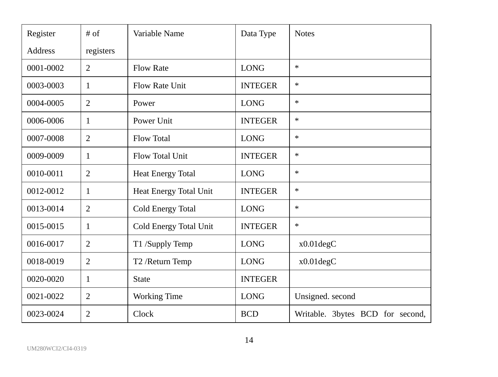| Register  | $#$ of    | Variable Name            | Data Type      | <b>Notes</b>                     |
|-----------|-----------|--------------------------|----------------|----------------------------------|
| Address   | registers |                          |                |                                  |
| 0001-0002 | 2         | <b>Flow Rate</b>         | <b>LONG</b>    | *                                |
| 0003-0003 | 1         | Flow Rate Unit           | <b>INTEGER</b> | $\ast$                           |
| 0004-0005 | 2         | Power                    | <b>LONG</b>    | *                                |
| 0006-0006 | 1         | Power Unit               | <b>INTEGER</b> | *                                |
| 0007-0008 | 2         | <b>Flow Total</b>        | <b>LONG</b>    | *                                |
| 0009-0009 | 1         | Flow Total Unit          | <b>INTEGER</b> | *                                |
| 0010-0011 | 2         | <b>Heat Energy Total</b> | <b>LONG</b>    | *                                |
| 0012-0012 | 1         | Heat Energy Total Unit   | <b>INTEGER</b> | *                                |
| 0013-0014 | 2         | Cold Energy Total        | <b>LONG</b>    | *                                |
| 0015-0015 | 1         | Cold Energy Total Unit   | <b>INTEGER</b> | *                                |
| 0016-0017 | 2         | T1 /Supply Temp          | <b>LONG</b>    | x0.01degC                        |
| 0018-0019 | 2         | T2 /Return Temp          | <b>LONG</b>    | x0.01degC                        |
| 0020-0020 | 1         | <b>State</b>             | <b>INTEGER</b> |                                  |
| 0021-0022 | 2         | Working Time             | <b>LONG</b>    | Unsigned. second                 |
| 0023-0024 | 2         | Clock                    | <b>BCD</b>     | Writable. 3bytes BCD for second, |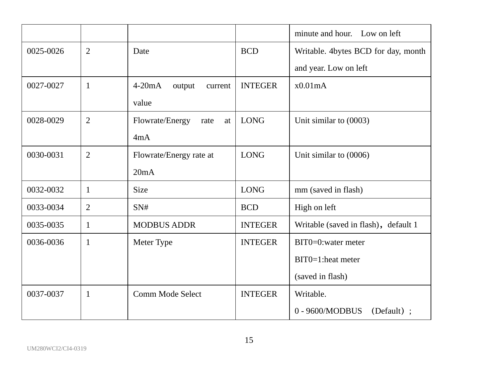|           |                |                               |                | minute and hour. Low on left         |
|-----------|----------------|-------------------------------|----------------|--------------------------------------|
| 0025-0026 | $\overline{c}$ | Date                          | <b>BCD</b>     | Writable. 4bytes BCD for day, month  |
|           |                |                               |                | and year. Low on left                |
| 0027-0027 | 1              | $4-20mA$<br>output<br>current | <b>INTEGER</b> | x0.01mA                              |
|           |                | value                         |                |                                      |
| 0028-0029 | 2              | Flowrate/Energy<br>rate<br>at | <b>LONG</b>    | Unit similar to (0003)               |
|           |                | 4mA                           |                |                                      |
| 0030-0031 | 2              | Flowrate/Energy rate at       | <b>LONG</b>    | Unit similar to (0006)               |
|           |                | 20mA                          |                |                                      |
| 0032-0032 | 1              | <b>Size</b>                   | <b>LONG</b>    | mm (saved in flash)                  |
| 0033-0034 | 2              | SN#                           | <b>BCD</b>     | High on left                         |
| 0035-0035 | 1              | <b>MODBUS ADDR</b>            | <b>INTEGER</b> | Writable (saved in flash), default 1 |
| 0036-0036 | 1              | Meter Type                    | <b>INTEGER</b> | BIT0=0:water meter                   |
|           |                |                               |                | $BIT0=1$ :heat meter                 |
|           |                |                               |                | (saved in flash)                     |
| 0037-0037 | 1              | Comm Mode Select              | <b>INTEGER</b> | Writable.                            |
|           |                |                               |                | 0 - 9600/MODBUS<br>$(Default)$ :     |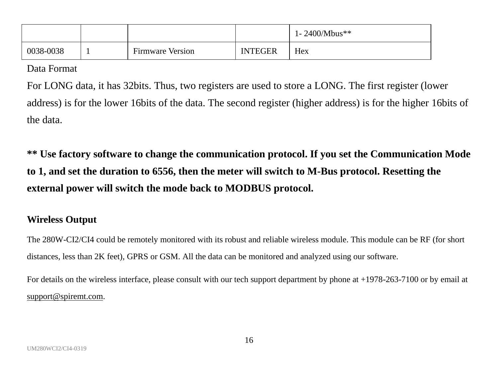|           |                         |                | 1-2400/Mbus** |
|-----------|-------------------------|----------------|---------------|
| 0038-0038 | <b>Firmware Version</b> | <b>INTEGER</b> | Hex           |

Data Format

For LONG data, it has 32bits. Thus, two registers are used to store a LONG. The first register (lower address) is for the lower 16bits of the data. The second register (higher address) is for the higher 16bits of the data.

**\*\* Use factory software to change the communication protocol. If you set the Communication Mode to 1, and set the duration to 6556, then the meter will switch to M-Bus protocol. Resetting the external power will switch the mode back to MODBUS protocol.**

#### **Wireless Output**

The 280W-CI2/CI4 could be remotely monitored with its robust and reliable wireless module. This module can be RF (for short distances, less than 2K feet), GPRS or GSM. All the data can be monitored and analyzed using our software.

For details on the wireless interface, please consult with our tech support department by phone at +1978-263-7100 or by email at [support@spiremt.com.](mailto:support@spiremt.com)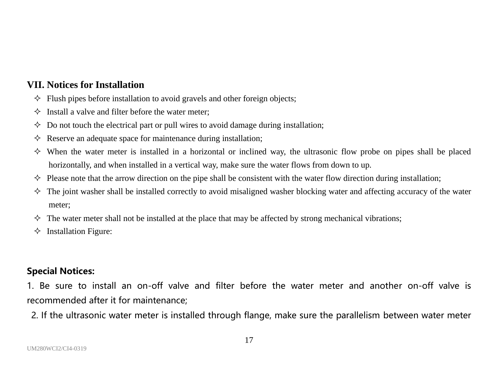### **VII. Notices for Installation**

- $\Diamond$  Flush pipes before installation to avoid gravels and other foreign objects:
- $\Diamond$  Install a valve and filter before the water meter:
- $\Diamond$  Do not touch the electrical part or pull wires to avoid damage during installation;
- $\Diamond$  Reserve an adequate space for maintenance during installation;
- $\diamond$  When the water meter is installed in a horizontal or inclined way, the ultrasonic flow probe on pipes shall be placed horizontally, and when installed in a vertical way, make sure the water flows from down to up.
- $\Diamond$  Please note that the arrow direction on the pipe shall be consistent with the water flow direction during installation;
- $\Diamond$  The joint washer shall be installed correctly to avoid misaligned washer blocking water and affecting accuracy of the water meter;
- $\Diamond$  The water meter shall not be installed at the place that may be affected by strong mechanical vibrations;
- $\Diamond$  Installation Figure:

#### **Special Notices:**

1. Be sure to install an on-off valve and filter before the water meter and another on-off valve is recommended after it for maintenance;

2. If the ultrasonic water meter is installed through flange, make sure the parallelism between water meter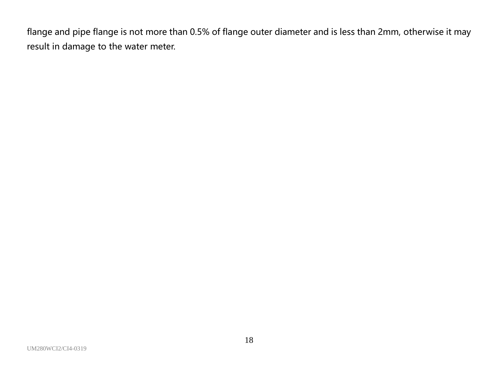flange and pipe flange is not more than 0.5% of flange outer diameter and is less than 2mm, otherwise it may result in damage to the water meter.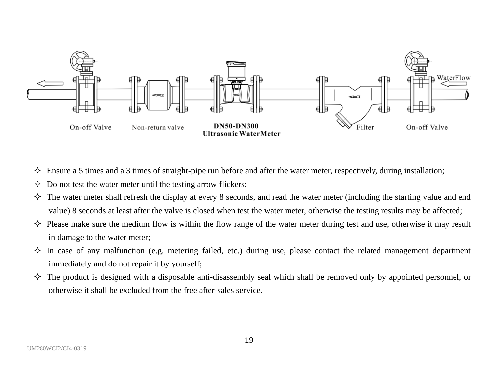

- $\Diamond$  Ensure a 5 times and a 3 times of straight-pipe run before and after the water meter, respectively, during installation;
- $\Diamond$  Do not test the water meter until the testing arrow flickers;
- $\Diamond$  The water meter shall refresh the display at every 8 seconds, and read the water meter (including the starting value and end value) 8 seconds at least after the valve is closed when test the water meter, otherwise the testing results may be affected;
- $\diamond$  Please make sure the medium flow is within the flow range of the water meter during test and use, otherwise it may result in damage to the water meter;
- $\Diamond$  In case of any malfunction (e.g. metering failed, etc.) during use, please contact the related management department immediately and do not repair it by yourself;
- $\Diamond$  The product is designed with a disposable anti-disassembly seal which shall be removed only by appointed personnel, or otherwise it shall be excluded from the free after-sales service.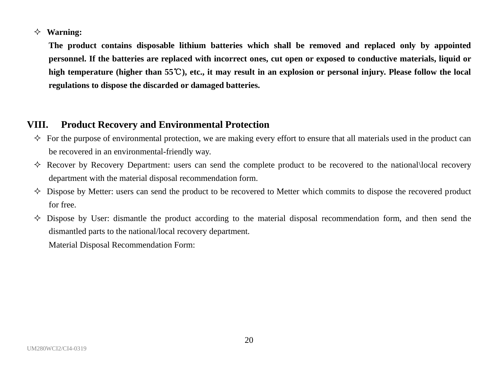#### **Warning:**

**The product contains disposable lithium batteries which shall be removed and replaced only by appointed personnel. If the batteries are replaced with incorrect ones, cut open or exposed to conductive materials, liquid or high temperature (higher than 55**℃**), etc., it may result in an explosion or personal injury. Please follow the local regulations to dispose the discarded or damaged batteries.**

#### **VIII. Product Recovery and Environmental Protection**

- $\Diamond$  For the purpose of environmental protection, we are making every effort to ensure that all materials used in the product can be recovered in an environmental-friendly way.
- $\Diamond$  Recover by Recovery Department: users can send the complete product to be recovered to the national\local recovery department with the material disposal recommendation form.
- $\Diamond$  Dispose by Metter: users can send the product to be recovered to Metter which commits to dispose the recovered product for free.
- $\Diamond$  Dispose by User: dismantle the product according to the material disposal recommendation form, and then send the dismantled parts to the national/local recovery department.

Material Disposal Recommendation Form: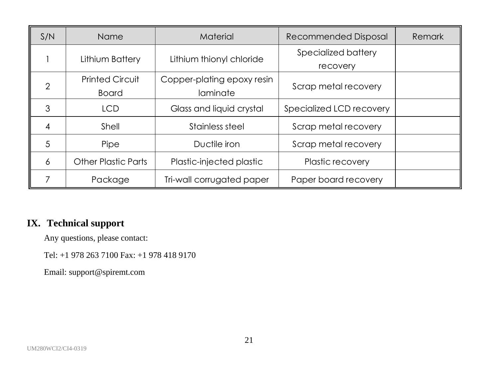| S/N | Name                   | Material                   | Recommended Disposal     | Remark |
|-----|------------------------|----------------------------|--------------------------|--------|
|     | Lithium Battery        | Lithium thionyl chloride   | Specialized battery      |        |
|     |                        |                            | recovery                 |        |
|     | <b>Printed Circuit</b> | Copper-plating epoxy resin |                          |        |
| 2   | Board                  | laminate                   | Scrap metal recovery     |        |
| 3   | <b>LCD</b>             | Glass and liquid crystal   | Specialized LCD recovery |        |
| 4   | Shell                  | Stainless steel            | Scrap metal recovery     |        |
| 5   | Pipe                   | Ductile iron               | Scrap metal recovery     |        |
| 6   | Other Plastic Parts    | Plastic-injected plastic   | Plastic recovery         |        |
|     | Package                | Tri-wall corrugated paper  | Paper board recovery     |        |

## **IX. Technical support**

Any questions, please contact:

Tel: +1 978 263 7100 Fax: +1 978 418 9170

Email: support@spiremt.com